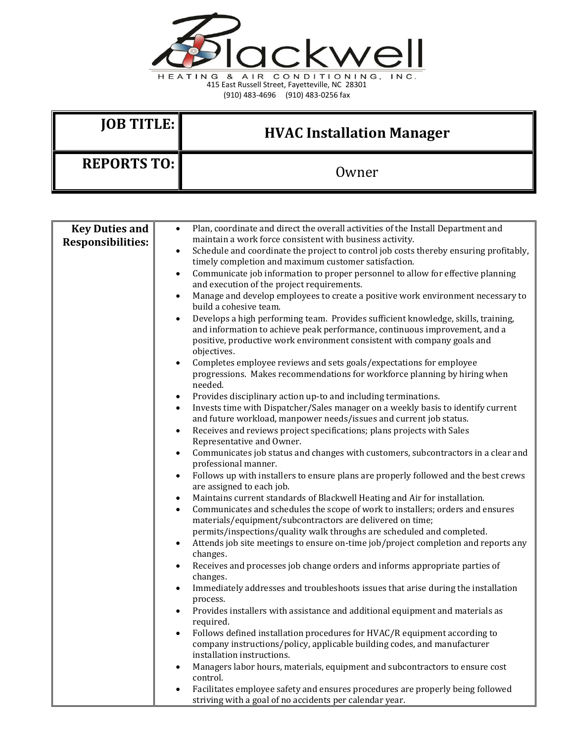

(910) 483-4696 (910) 483-0256 fax

| $IOB$ TITLE:       | <b>HVAC Installation Manager</b> |
|--------------------|----------------------------------|
| <b>REPORTS TO:</b> | Owner                            |

| maintain a work force consistent with business activity.<br><b>Responsibilities:</b><br>Schedule and coordinate the project to control job costs thereby ensuring profitably,<br>$\bullet$<br>timely completion and maximum customer satisfaction.<br>Communicate job information to proper personnel to allow for effective planning<br>$\bullet$<br>and execution of the project requirements.<br>Manage and develop employees to create a positive work environment necessary to<br>$\bullet$ |  |
|--------------------------------------------------------------------------------------------------------------------------------------------------------------------------------------------------------------------------------------------------------------------------------------------------------------------------------------------------------------------------------------------------------------------------------------------------------------------------------------------------|--|
|                                                                                                                                                                                                                                                                                                                                                                                                                                                                                                  |  |
|                                                                                                                                                                                                                                                                                                                                                                                                                                                                                                  |  |
|                                                                                                                                                                                                                                                                                                                                                                                                                                                                                                  |  |
|                                                                                                                                                                                                                                                                                                                                                                                                                                                                                                  |  |
| build a cohesive team.                                                                                                                                                                                                                                                                                                                                                                                                                                                                           |  |
| Develops a high performing team. Provides sufficient knowledge, skills, training,<br>$\bullet$<br>and information to achieve peak performance, continuous improvement, and a<br>positive, productive work environment consistent with company goals and<br>objectives.                                                                                                                                                                                                                           |  |
| Completes employee reviews and sets goals/expectations for employee<br>$\bullet$<br>progressions. Makes recommendations for workforce planning by hiring when                                                                                                                                                                                                                                                                                                                                    |  |
| needed.                                                                                                                                                                                                                                                                                                                                                                                                                                                                                          |  |
| Provides disciplinary action up-to and including terminations.<br>$\bullet$                                                                                                                                                                                                                                                                                                                                                                                                                      |  |
| Invests time with Dispatcher/Sales manager on a weekly basis to identify current<br>$\bullet$<br>and future workload, manpower needs/issues and current job status.                                                                                                                                                                                                                                                                                                                              |  |
| Receives and reviews project specifications; plans projects with Sales<br>$\bullet$<br>Representative and Owner.                                                                                                                                                                                                                                                                                                                                                                                 |  |
| Communicates job status and changes with customers, subcontractors in a clear and<br>$\bullet$<br>professional manner.                                                                                                                                                                                                                                                                                                                                                                           |  |
| Follows up with installers to ensure plans are properly followed and the best crews<br>$\bullet$                                                                                                                                                                                                                                                                                                                                                                                                 |  |
| are assigned to each job.                                                                                                                                                                                                                                                                                                                                                                                                                                                                        |  |
| Maintains current standards of Blackwell Heating and Air for installation.<br>$\bullet$<br>Communicates and schedules the scope of work to installers; orders and ensures<br>$\bullet$                                                                                                                                                                                                                                                                                                           |  |
| materials/equipment/subcontractors are delivered on time;                                                                                                                                                                                                                                                                                                                                                                                                                                        |  |
| permits/inspections/quality walk throughs are scheduled and completed.                                                                                                                                                                                                                                                                                                                                                                                                                           |  |
| Attends job site meetings to ensure on-time job/project completion and reports any<br>$\bullet$<br>changes.                                                                                                                                                                                                                                                                                                                                                                                      |  |
| Receives and processes job change orders and informs appropriate parties of<br>$\bullet$<br>changes.                                                                                                                                                                                                                                                                                                                                                                                             |  |
| Immediately addresses and troubleshoots issues that arise during the installation<br>$\bullet$                                                                                                                                                                                                                                                                                                                                                                                                   |  |
| process.<br>Provides installers with assistance and additional equipment and materials as<br>$\bullet$                                                                                                                                                                                                                                                                                                                                                                                           |  |
| required.                                                                                                                                                                                                                                                                                                                                                                                                                                                                                        |  |
| Follows defined installation procedures for HVAC/R equipment according to<br>$\bullet$<br>company instructions/policy, applicable building codes, and manufacturer<br>installation instructions.                                                                                                                                                                                                                                                                                                 |  |
| Managers labor hours, materials, equipment and subcontractors to ensure cost<br>$\bullet$<br>control.                                                                                                                                                                                                                                                                                                                                                                                            |  |
| Facilitates employee safety and ensures procedures are properly being followed<br>$\bullet$<br>striving with a goal of no accidents per calendar year.                                                                                                                                                                                                                                                                                                                                           |  |